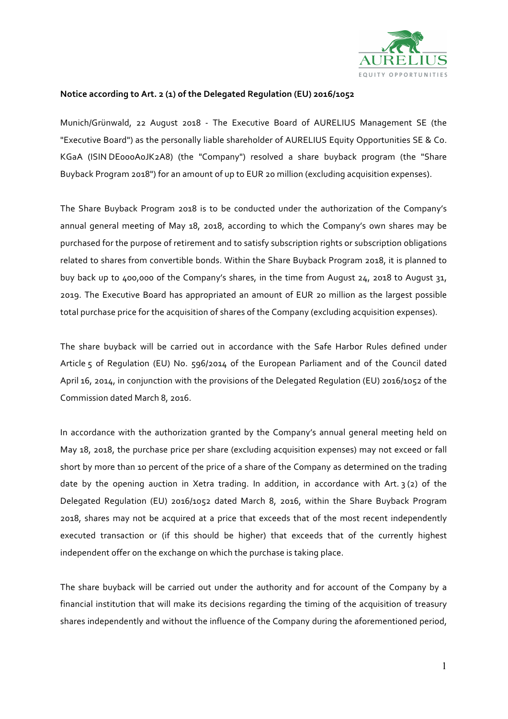

## **Notice according to Art. 2 (1) of the Delegated Regulation (EU) 2016/1052**

Munich/Grünwald, 22 August 2018 - The Executive Board of AURELIUS Management SE (the "Executive Board") as the personally liable shareholder of AURELIUS Equity Opportunities SE & Co. KGaA (ISIN DE000A0JK2A8) (the "Company") resolved a share buyback program (the "Share Buyback Program 2018") for an amount of up to EUR 20 million (excluding acquisition expenses).

The Share Buyback Program 2018 is to be conducted under the authorization of the Company's annual general meeting of May 18, 2018, according to which the Company's own shares may be purchased for the purpose of retirement and to satisfy subscription rights or subscription obligations related to shares from convertible bonds. Within the Share Buyback Program 2018, it is planned to buy back up to 400,000 of the Company's shares, in the time from August 24, 2018 to August 31, 2019. The Executive Board has appropriated an amount of EUR 20 million as the largest possible total purchase price for the acquisition of shares of the Company (excluding acquisition expenses).

The share buyback will be carried out in accordance with the Safe Harbor Rules defined under Article 5 of Regulation (EU) No. 596/2014 of the European Parliament and of the Council dated April 16, 2014, in conjunction with the provisions of the Delegated Regulation (EU) 2016/1052 of the Commission dated March 8, 2016.

In accordance with the authorization granted by the Company's annual general meeting held on May 18, 2018, the purchase price per share (excluding acquisition expenses) may not exceed or fall short by more than 10 percent of the price of a share of the Company as determined on the trading date by the opening auction in Xetra trading. In addition, in accordance with Art.  $3(2)$  of the Delegated Regulation (EU) 2016/1052 dated March 8, 2016, within the Share Buyback Program 2018, shares may not be acquired at a price that exceeds that of the most recent independently executed transaction or (if this should be higher) that exceeds that of the currently highest independent offer on the exchange on which the purchase is taking place.

The share buyback will be carried out under the authority and for account of the Company by a financial institution that will make its decisions regarding the timing of the acquisition of treasury shares independently and without the influence of the Company during the aforementioned period,